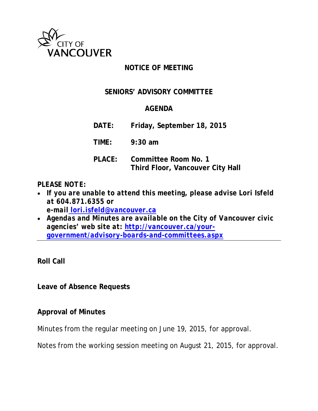

### **NOTICE OF MEETING**

#### **SENIORS' ADVISORY COMMITTEE**

#### **AGENDA**

**DATE: Friday, September 18, 2015**

**TIME: 9:30 am**

**PLACE: Committee Room No. 1 Third Floor, Vancouver City Hall**

#### *PLEASE NOTE:*

- *If you are unable to attend this meeting, please advise Lori Isfeld at 604.871.6355 or e-mail [lori.isfeld@vancouver.ca](mailto:%20lori.isfeld@vancouver.ca)*
- *Agendas and Minutes are available on the City of Vancouver civic agencies' web site at: [http://vancouver.ca/your](http://vancouver.ca/your-government/advisory-boards-and-committees.aspx)[government/advisory-boards-and-committees.aspx](http://vancouver.ca/your-government/advisory-boards-and-committees.aspx)*

**Roll Call**

**Leave of Absence Requests**

#### **Approval of Minutes**

Minutes from the regular meeting on June 19, 2015, for approval.

Notes from the working session meeting on August 21, 2015, for approval.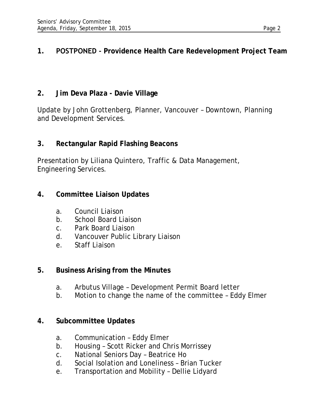# **1. POSTPONED - Providence Health Care Redevelopment Project Team**

# **2. Jim Deva Plaza - Davie Village**

Update by John Grottenberg, Planner, Vancouver – Downtown, Planning and Development Services.

## **3. Rectangular Rapid Flashing Beacons**

Presentation by Liliana Quintero, Traffic & Data Management, Engineering Services.

## **4. Committee Liaison Updates**

- a. Council Liaison
- b. School Board Liaison
- c. Park Board Liaison
- d. Vancouver Public Library Liaison
- e. Staff Liaison

## **5. Business Arising from the Minutes**

- a. Arbutus Village Development Permit Board letter
- b. Motion to change the name of the committee Eddy Elmer

### **4. Subcommittee Updates**

- a. Communication Eddy Elmer
- b. Housing Scott Ricker and Chris Morrissey
- c. National Seniors Day Beatrice Ho
- d. Social Isolation and Loneliness Brian Tucker
- e. Transportation and Mobility Dellie Lidyard